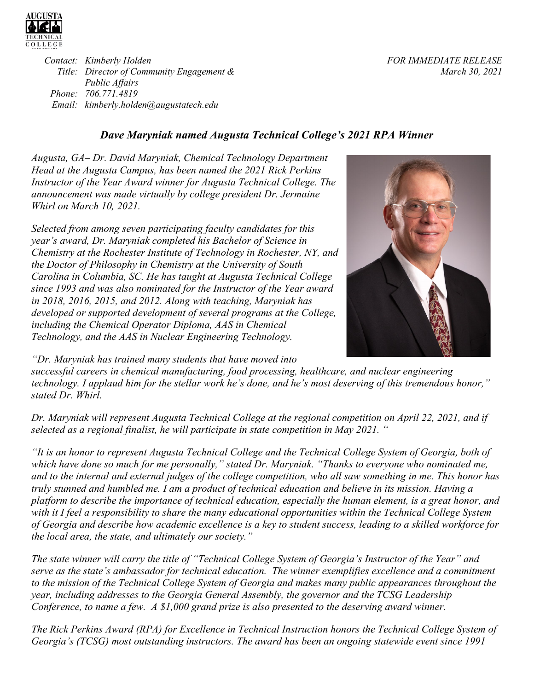

*Contact: Kimberly Holden Title: Director of Community Engagement & Public Affairs Phone: 706.771.4819 Email: kimberly.holden@augustatech.edu* 

*FOR IMMEDIATE RELEASE March 30, 2021* 

## *Dave Maryniak named Augusta Technical College's 2021 RPA Winner*

*Augusta, GA– Dr. David Maryniak, Chemical Technology Department Head at the Augusta Campus, has been named the 2021 Rick Perkins Instructor of the Year Award winner for Augusta Technical College. The announcement was made virtually by college president Dr. Jermaine Whirl on March 10, 2021.* 

*Selected from among seven participating faculty candidates for this year's award, Dr. Maryniak completed his Bachelor of Science in Chemistry at the Rochester Institute of Technology in Rochester, NY, and the Doctor of Philosophy in Chemistry at the University of South Carolina in Columbia, SC. He has taught at Augusta Technical College since 1993 and was also nominated for the Instructor of the Year award in 2018, 2016, 2015, and 2012. Along with teaching, Maryniak has developed or supported development of several programs at the College, including the Chemical Operator Diploma, AAS in Chemical Technology, and the AAS in Nuclear Engineering Technology.* 



*"Dr. Maryniak has trained many students that have moved into* 

*successful careers in chemical manufacturing, food processing, healthcare, and nuclear engineering technology. I applaud him for the stellar work he's done, and he's most deserving of this tremendous honor," stated Dr. Whirl.* 

*Dr. Maryniak will represent Augusta Technical College at the regional competition on April 22, 2021, and if selected as a regional finalist, he will participate in state competition in May 2021. "* 

*"It is an honor to represent Augusta Technical College and the Technical College System of Georgia, both of which have done so much for me personally," stated Dr. Maryniak. "Thanks to everyone who nominated me, and to the internal and external judges of the college competition, who all saw something in me. This honor has truly stunned and humbled me. I am a product of technical education and believe in its mission. Having a platform to describe the importance of technical education, especially the human element, is a great honor, and with it I feel a responsibility to share the many educational opportunities within the Technical College System of Georgia and describe how academic excellence is a key to student success, leading to a skilled workforce for the local area, the state, and ultimately our society."* 

*The state winner will carry the title of "Technical College System of Georgia's Instructor of the Year" and serve as the state's ambassador for technical education. The winner exemplifies excellence and a commitment to the mission of the Technical College System of Georgia and makes many public appearances throughout the year, including addresses to the Georgia General Assembly, the governor and the TCSG Leadership Conference, to name a few. A \$1,000 grand prize is also presented to the deserving award winner.* 

*The Rick Perkins Award (RPA) for Excellence in Technical Instruction honors the Technical College System of Georgia's (TCSG) most outstanding instructors. The award has been an ongoing statewide event since 1991*